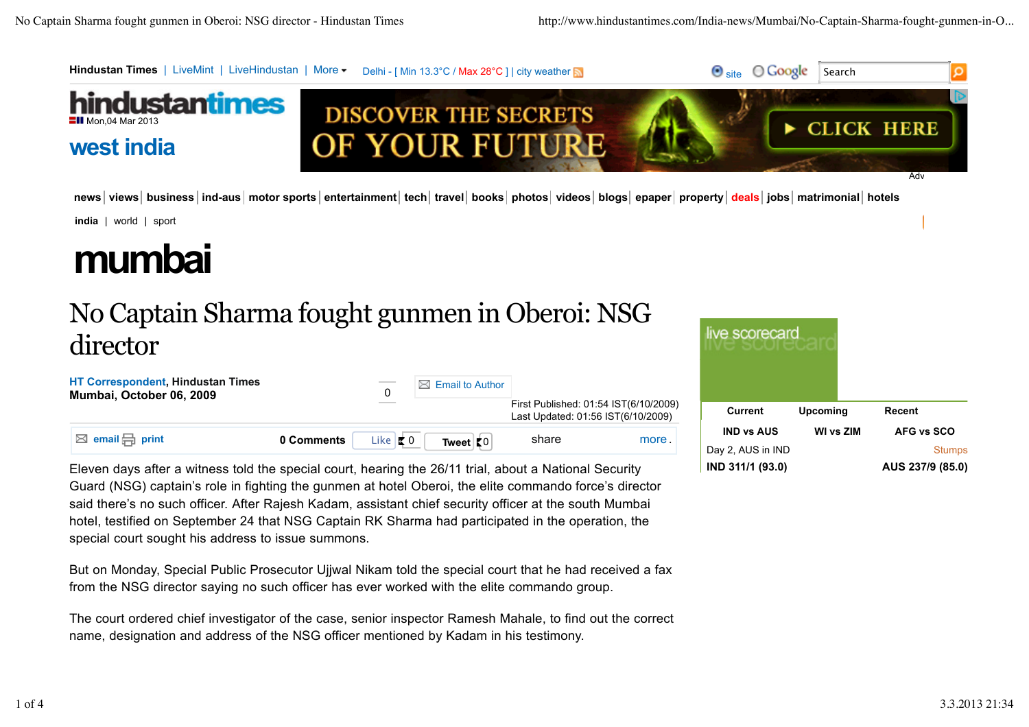

news views business ind-aus motor sports entertainment tech travel books photos videos blogs epaper property deals jobs matrimonial hotels

**india** | world | sport

## **mumbai**

## No Captain Sharma fought gunmen in Oberoi: NSG director



Eleven days after a witness told the special court, hearing the 26/11 trial, about a National Security Guard (NSG) captain's role in fighting the gunmen at hotel Oberoi, the elite commando force's director said there's no such officer. After Rajesh Kadam, assistant chief security officer at the south Mumbai hotel, testified on September 24 that NSG Captain RK Sharma had participated in the operation, the special court sought his address to issue summons.

But on Monday, Special Public Prosecutor Ujjwal Nikam told the special court that he had received a fax from the NSG director saying no such officer has ever worked with the elite commando group.

The court ordered chief investigator of the case, senior inspector Ramesh Mahale, to find out the correct name, designation and address of the NSG officer mentioned by Kadam in his testimony.